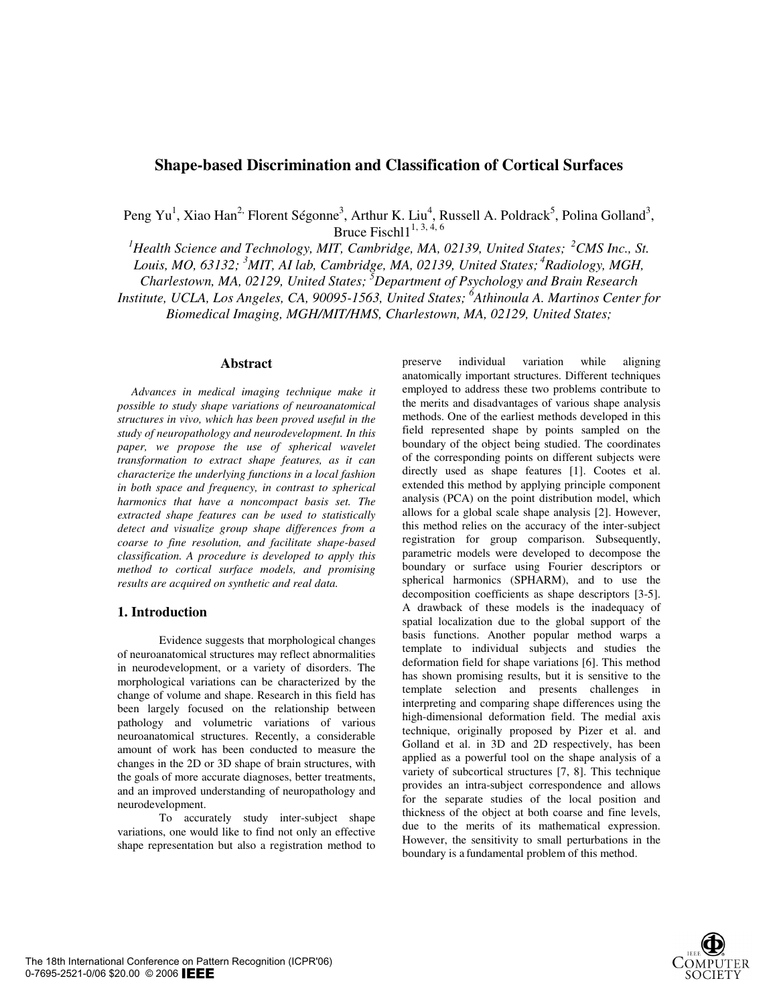# **Shape-based Discrimination and Classification of Cortical Surfaces**

Peng Yu<sup>1</sup>, Xiao Han<sup>2,</sup> Florent Ségonne<sup>3</sup>, Arthur K. Liu<sup>4</sup>, Russell A. Poldrack<sup>5</sup>, Polina Golland<sup>3</sup>, Bruce Fisch $11^{1, 3, 4, 6}$ 

<sup>1</sup> Health Science and Technology, MIT, Cambridge, MA, 02139, United States; <sup>2</sup>CMS Inc., St.

*Louis, MO, 63132; <sup>3</sup> MIT, AI lab, Cambridge, MA, 02139, United States; 4Radiology, MGH,* 

*Charlestown, MA, 02129, United States; 5 Department of Psychology and Brain Research* 

*Institute, UCLA, Los Angeles, CA, 90095-1563, United States; 6 Athinoula A. Martinos Center for* 

*Biomedical Imaging, MGH/MIT/HMS, Charlestown, MA, 02129, United States;* 

### **Abstract**

*Advances in medical imaging technique make it possible to study shape variations of neuroanatomical structures in vivo, which has been proved useful in the study of neuropathology and neurodevelopment. In this paper, we propose the use of spherical wavelet transformation to extract shape features, as it can characterize the underlying functions in a local fashion in both space and frequency, in contrast to spherical harmonics that have a noncompact basis set. The extracted shape features can be used to statistically detect and visualize group shape differences from a coarse to fine resolution, and facilitate shape-based classification. A procedure is developed to apply this method to cortical surface models, and promising results are acquired on synthetic and real data.* 

#### **1. Introduction**

Evidence suggests that morphological changes of neuroanatomical structures may reflect abnormalities in neurodevelopment, or a variety of disorders. The morphological variations can be characterized by the change of volume and shape. Research in this field has been largely focused on the relationship between pathology and volumetric variations of various neuroanatomical structures. Recently, a considerable amount of work has been conducted to measure the changes in the 2D or 3D shape of brain structures, with the goals of more accurate diagnoses, better treatments, and an improved understanding of neuropathology and neurodevelopment.

To accurately study inter-subject shape variations, one would like to find not only an effective shape representation but also a registration method to

preserve individual variation while aligning anatomically important structures. Different techniques employed to address these two problems contribute to the merits and disadvantages of various shape analysis methods. One of the earliest methods developed in this field represented shape by points sampled on the boundary of the object being studied. The coordinates of the corresponding points on different subjects were directly used as shape features [1]. Cootes et al. extended this method by applying principle component analysis (PCA) on the point distribution model, which allows for a global scale shape analysis [2]. However, this method relies on the accuracy of the inter-subject registration for group comparison. Subsequently, parametric models were developed to decompose the boundary or surface using Fourier descriptors or spherical harmonics (SPHARM), and to use the decomposition coefficients as shape descriptors [3-5]. A drawback of these models is the inadequacy of spatial localization due to the global support of the basis functions. Another popular method warps a template to individual subjects and studies the deformation field for shape variations [6]. This method has shown promising results, but it is sensitive to the template selection and presents challenges in interpreting and comparing shape differences using the high-dimensional deformation field. The medial axis technique, originally proposed by Pizer et al. and Golland et al. in 3D and 2D respectively, has been applied as a powerful tool on the shape analysis of a variety of subcortical structures [7, 8]. This technique provides an intra-subject correspondence and allows for the separate studies of the local position and thickness of the object at both coarse and fine levels, due to the merits of its mathematical expression. However, the sensitivity to small perturbations in the boundary is a fundamental problem of this method.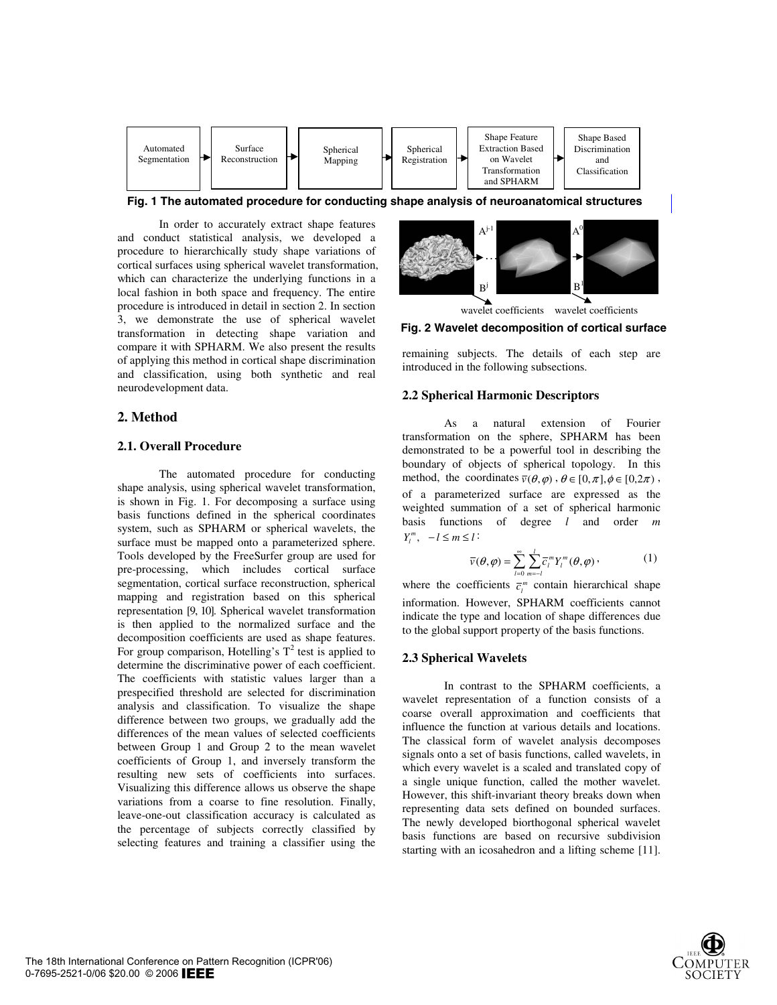

**Fig. 1 The automated procedure for conducting shape analysis of neuroanatomical structures**

In order to accurately extract shape features and conduct statistical analysis, we developed a procedure to hierarchically study shape variations of cortical surfaces using spherical wavelet transformation, which can characterize the underlying functions in a local fashion in both space and frequency. The entire procedure is introduced in detail in section 2. In section 3, we demonstrate the use of spherical wavelet transformation in detecting shape variation and compare it with SPHARM. We also present the results of applying this method in cortical shape discrimination and classification, using both synthetic and real neurodevelopment data.

## **2. Method**

## **2.1. Overall Procedure**

The automated procedure for conducting shape analysis, using spherical wavelet transformation, is shown in Fig. 1. For decomposing a surface using basis functions defined in the spherical coordinates system, such as SPHARM or spherical wavelets, the surface must be mapped onto a parameterized sphere. Tools developed by the FreeSurfer group are used for pre-processing, which includes cortical surface segmentation, cortical surface reconstruction, spherical mapping and registration based on this spherical representation [9, 10]. Spherical wavelet transformation is then applied to the normalized surface and the decomposition coefficients are used as shape features. For group comparison, Hotelling's  $T^2$  test is applied to determine the discriminative power of each coefficient. The coefficients with statistic values larger than a prespecified threshold are selected for discrimination analysis and classification. To visualize the shape difference between two groups, we gradually add the differences of the mean values of selected coefficients between Group 1 and Group 2 to the mean wavelet coefficients of Group 1, and inversely transform the resulting new sets of coefficients into surfaces. Visualizing this difference allows us observe the shape variations from a coarse to fine resolution. Finally, leave-one-out classification accuracy is calculated as the percentage of subjects correctly classified by selecting features and training a classifier using the



**Fig. 2 Wavelet decomposition of cortical surface** 

remaining subjects. The details of each step are introduced in the following subsections.

#### **2.2 Spherical Harmonic Descriptors**

As a natural extension of Fourier transformation on the sphere, SPHARM has been demonstrated to be a powerful tool in describing the boundary of objects of spherical topology. In this method, the coordinates  $\bar{v}(\theta, \varphi)$ ,  $\theta \in [0, \pi], \phi \in [0, 2\pi)$ , of a parameterized surface are expressed as the weighted summation of a set of spherical harmonic basis functions of degree *l* and order *m*  $Y_l^m$ ,  $-l \leq m \leq l$ :

$$
\overline{v}(\theta,\varphi) = \sum_{l=0}^{\infty} \sum_{m=-l}^{l} \overline{c}_{l}^{m} Y_{l}^{m}(\theta,\varphi) \,, \tag{1}
$$

where the coefficients  $\overline{c}_i^m$  contain hierarchical shape information. However, SPHARM coefficients cannot indicate the type and location of shape differences due to the global support property of the basis functions.

#### **2.3 Spherical Wavelets**

In contrast to the SPHARM coefficients, a wavelet representation of a function consists of a coarse overall approximation and coefficients that influence the function at various details and locations. The classical form of wavelet analysis decomposes signals onto a set of basis functions, called wavelets, in which every wavelet is a scaled and translated copy of a single unique function, called the mother wavelet. However, this shift-invariant theory breaks down when representing data sets defined on bounded surfaces. The newly developed biorthogonal spherical wavelet basis functions are based on recursive subdivision starting with an icosahedron and a lifting scheme [11].

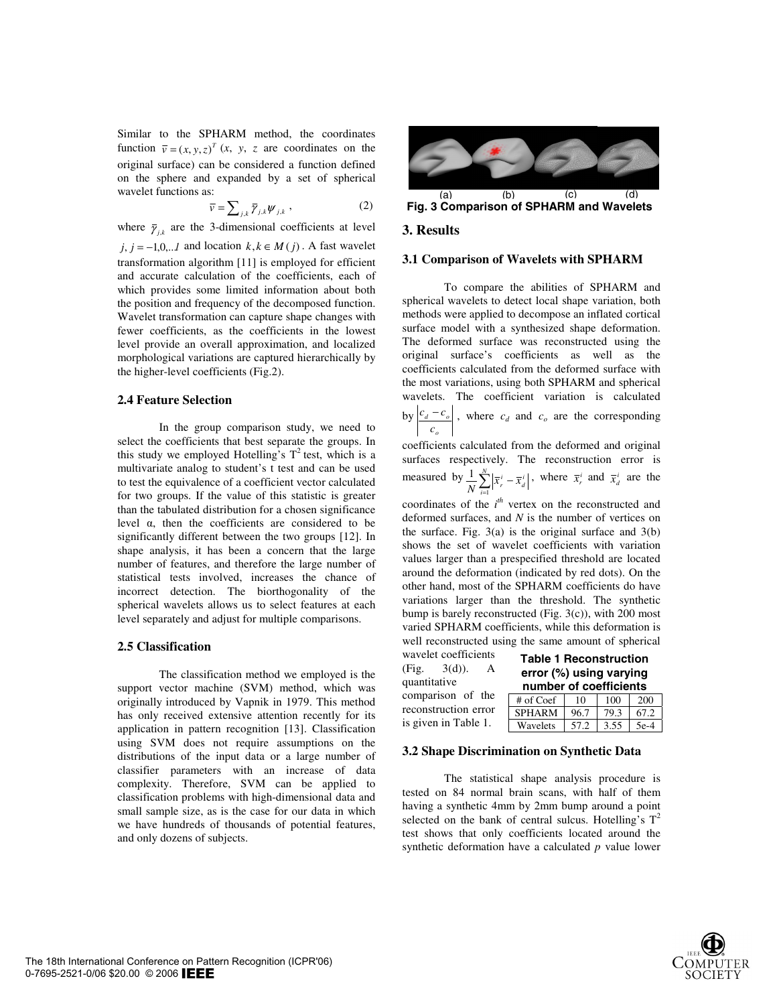Similar to the SPHARM method, the coordinates function  $\overline{v} = (x, y, z)^T (x, y, z)$  are coordinates on the original surface) can be considered a function defined on the sphere and expanded by a set of spherical wavelet functions as:

$$
\overline{\nu} = \sum_{j,k} \overline{\gamma}_{j,k} \psi_{j,k} \,, \tag{2}
$$

where  $\bar{\gamma}_{ik}$  are the 3-dimensional coefficients at level *j*, *j* = −1,0,..*l* and location  $k, k \in M(j)$ . A fast wavelet transformation algorithm [11] is employed for efficient and accurate calculation of the coefficients, each of which provides some limited information about both the position and frequency of the decomposed function. Wavelet transformation can capture shape changes with fewer coefficients, as the coefficients in the lowest level provide an overall approximation, and localized morphological variations are captured hierarchically by the higher-level coefficients (Fig.2).

## **2.4 Feature Selection**

In the group comparison study, we need to select the coefficients that best separate the groups. In this study we employed Hotelling's  $T^2$  test, which is a multivariate analog to student's t test and can be used to test the equivalence of a coefficient vector calculated for two groups. If the value of this statistic is greater than the tabulated distribution for a chosen significance level  $\alpha$ , then the coefficients are considered to be significantly different between the two groups [12]. In shape analysis, it has been a concern that the large number of features, and therefore the large number of statistical tests involved, increases the chance of incorrect detection. The biorthogonality of the spherical wavelets allows us to select features at each level separately and adjust for multiple comparisons.

#### **2.5 Classification**

The classification method we employed is the support vector machine (SVM) method, which was originally introduced by Vapnik in 1979. This method has only received extensive attention recently for its application in pattern recognition [13]. Classification using SVM does not require assumptions on the distributions of the input data or a large number of classifier parameters with an increase of data complexity. Therefore, SVM can be applied to classification problems with high-dimensional data and small sample size, as is the case for our data in which we have hundreds of thousands of potential features, and only dozens of subjects.



**Fig. 3 Comparison of SPHARM and Wavelets**

#### **3. Results**

#### **3.1 Comparison of Wavelets with SPHARM**

To compare the abilities of SPHARM and spherical wavelets to detect local shape variation, both methods were applied to decompose an inflated cortical surface model with a synthesized shape deformation. The deformed surface was reconstructed using the original surface's coefficients as well as the coefficients calculated from the deformed surface with the most variations, using both SPHARM and spherical wavelets. The coefficient variation is calculated by *o*  $\frac{d}{c_o}$  $\left| \frac{c_d - c_o}{c_d} \right|$ , where  $c_d$  and  $c_o$  are the corresponding

coefficients calculated from the deformed and original surfaces respectively. The reconstruction error is measured by  $\frac{1}{N} \sum_{i=1}^{N} \left| \overline{x}_{i}^{i} \right|$ *i*  $\frac{1}{N} \sum_{i=1}^{N} \left| \overline{x}_r^i - \overline{x}_d^i \right|$ , where  $\overline{x}_r^i$  and  $\overline{x}_d^i$  are the

coordinates of the  $i^{th}$  vertex on the reconstructed and deformed surfaces, and *N* is the number of vertices on the surface. Fig.  $3(a)$  is the original surface and  $3(b)$ shows the set of wavelet coefficients with variation values larger than a prespecified threshold are located around the deformation (indicated by red dots). On the other hand, most of the SPHARM coefficients do have variations larger than the threshold. The synthetic bump is barely reconstructed (Fig. 3(c)), with 200 most varied SPHARM coefficients, while this deformation is well reconstructed using the same amount of spherical

wavelet coefficients (Fig. 3(d)). A quantitative comparison of the reconstruction error is given in Table 1.

| <b>Table 1 Reconstruction</b><br>error (%) using varying<br>number of coefficients |      |      |      |
|------------------------------------------------------------------------------------|------|------|------|
| $#$ of Coef                                                                        | 10   | 100  | 200  |
| <b>SPHARM</b>                                                                      | 96.7 | 79.3 | 67.2 |

Wavelets 57.2 3.55 5e-4

#### **3.2 Shape Discrimination on Synthetic Data**

The statistical shape analysis procedure is tested on 84 normal brain scans, with half of them having a synthetic 4mm by 2mm bump around a point selected on the bank of central sulcus. Hotelling's  $T^2$ test shows that only coefficients located around the synthetic deformation have a calculated *p* value lower